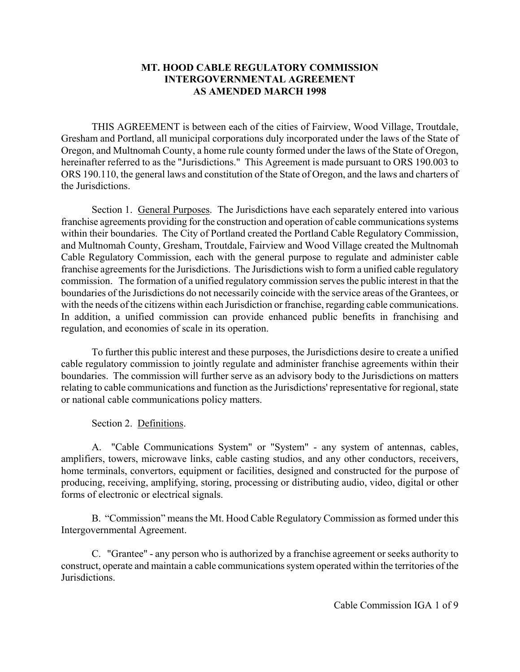## **MT. HOOD CABLE REGULATORY COMMISSION INTERGOVERNMENTAL AGREEMENT AS AMENDED MARCH 1998**

THIS AGREEMENT is between each of the cities of Fairview, Wood Village, Troutdale, Gresham and Portland, all municipal corporations duly incorporated under the laws of the State of Oregon, and Multnomah County, a home rule county formed under the laws of the State of Oregon, hereinafter referred to as the "Jurisdictions." This Agreement is made pursuant to ORS 190.003 to ORS 190.110, the general laws and constitution of the State of Oregon, and the laws and charters of the Jurisdictions.

Section 1. General Purposes. The Jurisdictions have each separately entered into various franchise agreements providing for the construction and operation of cable communications systems within their boundaries. The City of Portland created the Portland Cable Regulatory Commission, and Multnomah County, Gresham, Troutdale, Fairview and Wood Village created the Multnomah Cable Regulatory Commission, each with the general purpose to regulate and administer cable franchise agreements for the Jurisdictions. The Jurisdictions wish to form a unified cable regulatory commission. The formation of a unified regulatory commission serves the public interest in that the boundaries of the Jurisdictions do not necessarily coincide with the service areas of the Grantees, or with the needs of the citizens within each Jurisdiction or franchise, regarding cable communications. In addition, a unified commission can provide enhanced public benefits in franchising and regulation, and economies of scale in its operation.

To further this public interest and these purposes, the Jurisdictions desire to create a unified cable regulatory commission to jointly regulate and administer franchise agreements within their boundaries. The commission will further serve as an advisory body to the Jurisdictions on matters relating to cable communications and function as the Jurisdictions' representative for regional, state or national cable communications policy matters.

Section 2. Definitions.

A. "Cable Communications System" or "System" - any system of antennas, cables, amplifiers, towers, microwave links, cable casting studios, and any other conductors, receivers, home terminals, convertors, equipment or facilities, designed and constructed for the purpose of producing, receiving, amplifying, storing, processing or distributing audio, video, digital or other forms of electronic or electrical signals.

B. "Commission" means the Mt. Hood Cable Regulatory Commission as formed under this Intergovernmental Agreement.

C. "Grantee" - any person who is authorized by a franchise agreement or seeks authority to construct, operate and maintain a cable communications system operated within the territories of the **Jurisdictions**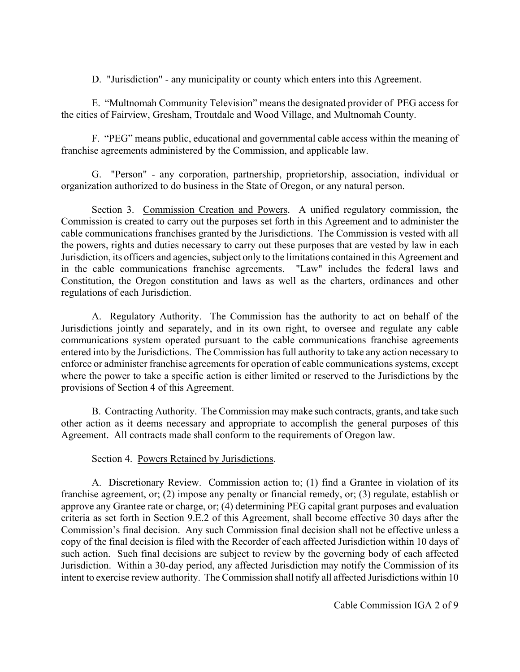D. "Jurisdiction" - any municipality or county which enters into this Agreement.

E. "Multnomah Community Television" means the designated provider of PEG access for the cities of Fairview, Gresham, Troutdale and Wood Village, and Multnomah County.

F. "PEG" means public, educational and governmental cable access within the meaning of franchise agreements administered by the Commission, and applicable law.

G. "Person" - any corporation, partnership, proprietorship, association, individual or organization authorized to do business in the State of Oregon, or any natural person.

Section 3. Commission Creation and Powers. A unified regulatory commission, the Commission is created to carry out the purposes set forth in this Agreement and to administer the cable communications franchises granted by the Jurisdictions. The Commission is vested with all the powers, rights and duties necessary to carry out these purposes that are vested by law in each Jurisdiction, its officers and agencies, subject only to the limitations contained in this Agreement and in the cable communications franchise agreements. "Law" includes the federal laws and Constitution, the Oregon constitution and laws as well as the charters, ordinances and other regulations of each Jurisdiction.

A. Regulatory Authority. The Commission has the authority to act on behalf of the Jurisdictions jointly and separately, and in its own right, to oversee and regulate any cable communications system operated pursuant to the cable communications franchise agreements entered into by the Jurisdictions. The Commission has full authority to take any action necessary to enforce or administer franchise agreements for operation of cable communications systems, except where the power to take a specific action is either limited or reserved to the Jurisdictions by the provisions of Section 4 of this Agreement.

B. Contracting Authority. The Commission may make such contracts, grants, and take such other action as it deems necessary and appropriate to accomplish the general purposes of this Agreement. All contracts made shall conform to the requirements of Oregon law.

## Section 4. Powers Retained by Jurisdictions.

A. Discretionary Review. Commission action to; (1) find a Grantee in violation of its franchise agreement, or; (2) impose any penalty or financial remedy, or; (3) regulate, establish or approve any Grantee rate or charge, or; (4) determining PEG capital grant purposes and evaluation criteria as set forth in Section 9.E.2 of this Agreement, shall become effective 30 days after the Commission's final decision. Any such Commission final decision shall not be effective unless a copy of the final decision is filed with the Recorder of each affected Jurisdiction within 10 days of such action. Such final decisions are subject to review by the governing body of each affected Jurisdiction. Within a 30-day period, any affected Jurisdiction may notify the Commission of its intent to exercise review authority. The Commission shall notify all affected Jurisdictions within 10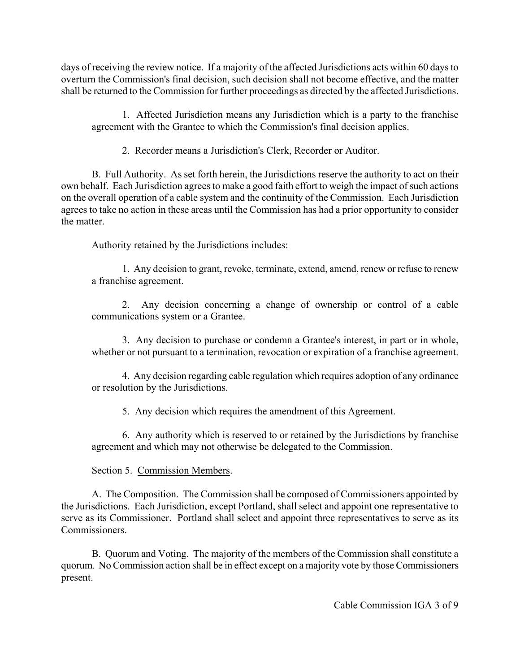days of receiving the review notice. If a majority of the affected Jurisdictions acts within 60 days to overturn the Commission's final decision, such decision shall not become effective, and the matter shall be returned to the Commission for further proceedings as directed by the affected Jurisdictions.

1. Affected Jurisdiction means any Jurisdiction which is a party to the franchise agreement with the Grantee to which the Commission's final decision applies.

2. Recorder means a Jurisdiction's Clerk, Recorder or Auditor.

B. Full Authority. As set forth herein, the Jurisdictions reserve the authority to act on their own behalf. Each Jurisdiction agrees to make a good faith effort to weigh the impact of such actions on the overall operation of a cable system and the continuity of the Commission. Each Jurisdiction agrees to take no action in these areas until the Commission has had a prior opportunity to consider the matter.

Authority retained by the Jurisdictions includes:

1. Any decision to grant, revoke, terminate, extend, amend, renew or refuse to renew a franchise agreement.

2. Any decision concerning a change of ownership or control of a cable communications system or a Grantee.

3. Any decision to purchase or condemn a Grantee's interest, in part or in whole, whether or not pursuant to a termination, revocation or expiration of a franchise agreement.

4. Any decision regarding cable regulation which requires adoption of any ordinance or resolution by the Jurisdictions.

5. Any decision which requires the amendment of this Agreement.

6. Any authority which is reserved to or retained by the Jurisdictions by franchise agreement and which may not otherwise be delegated to the Commission.

Section 5. Commission Members.

A. The Composition. The Commission shall be composed of Commissioners appointed by the Jurisdictions. Each Jurisdiction, except Portland, shall select and appoint one representative to serve as its Commissioner. Portland shall select and appoint three representatives to serve as its Commissioners.

B. Quorum and Voting. The majority of the members of the Commission shall constitute a quorum. No Commission action shall be in effect except on a majority vote by those Commissioners present.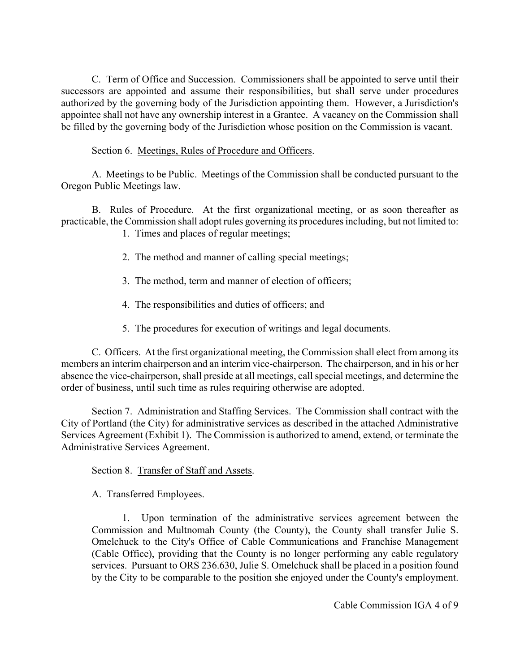C. Term of Office and Succession. Commissioners shall be appointed to serve until their successors are appointed and assume their responsibilities, but shall serve under procedures authorized by the governing body of the Jurisdiction appointing them. However, a Jurisdiction's appointee shall not have any ownership interest in a Grantee. A vacancy on the Commission shall be filled by the governing body of the Jurisdiction whose position on the Commission is vacant.

Section 6. Meetings, Rules of Procedure and Officers.

A. Meetings to be Public. Meetings of the Commission shall be conducted pursuant to the Oregon Public Meetings law.

B. Rules of Procedure. At the first organizational meeting, or as soon thereafter as practicable, the Commission shall adopt rules governing its procedures including, but not limited to:

- 1. Times and places of regular meetings;
- 2. The method and manner of calling special meetings;
- 3. The method, term and manner of election of officers;
- 4. The responsibilities and duties of officers; and
- 5. The procedures for execution of writings and legal documents.

C. Officers. At the first organizational meeting, the Commission shall elect from among its members an interim chairperson and an interim vice-chairperson. The chairperson, and in his or her absence the vice-chairperson, shall preside at all meetings, call special meetings, and determine the order of business, until such time as rules requiring otherwise are adopted.

Section 7. Administration and Staffing Services. The Commission shall contract with the City of Portland (the City) for administrative services as described in the attached Administrative Services Agreement (Exhibit 1). The Commission is authorized to amend, extend, or terminate the Administrative Services Agreement.

Section 8. Transfer of Staff and Assets.

A. Transferred Employees.

1. Upon termination of the administrative services agreement between the Commission and Multnomah County (the County), the County shall transfer Julie S. Omelchuck to the City's Office of Cable Communications and Franchise Management (Cable Office), providing that the County is no longer performing any cable regulatory services. Pursuant to ORS 236.630, Julie S. Omelchuck shall be placed in a position found by the City to be comparable to the position she enjoyed under the County's employment.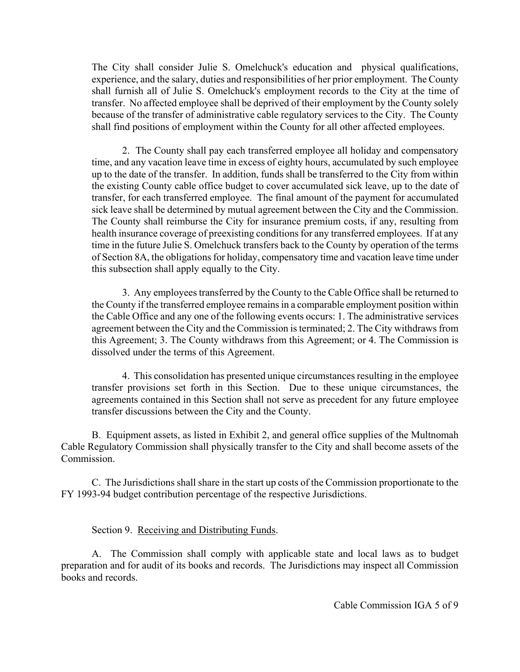The City shall consider Julie S. Omelchuck's education and physical qualifications, experience, and the salary, duties and responsibilities of her prior employment. The County shall furnish all of Julie S. Omelchuck's employment records to the City at the time of transfer. No affected employee shall be deprived of their employment by the County solely because of the transfer of administrative cable regulatory services to the City. The County shall find positions of employment within the County for all other affected employees.

2. The County shall pay each transferred employee all holiday and compensatory time, and any vacation leave time in excess of eighty hours, accumulated by such employee up to the date of the transfer. In addition, funds shall be transferred to the City from within the existing County cable office budget to cover accumulated sick leave, up to the date of transfer, for each transferred employee. The final amount of the payment for accumulated sick leave shall be determined by mutual agreement between the City and the Commission. The County shall reimburse the City for insurance premium costs, if any, resulting from health insurance coverage of preexisting conditions for any transferred employees. If at any time in the future Julie S. Omelchuck transfers back to the County by operation of the terms of Section 8A, the obligations for holiday, compensatory time and vacation leave time under this subsection shall apply equally to the City.

3. Any employees transferred by the County to the Cable Office shall be returned to the County if the transferred employee remains in a comparable employment position within the Cable Office and any one of the following events occurs: 1. The administrative services agreement between the City and the Commission is terminated; 2. The City withdraws from this Agreement; 3. The County withdraws from this Agreement; or 4. The Commission is dissolved under the terms of this Agreement.

4. This consolidation has presented unique circumstances resulting in the employee transfer provisions set forth in this Section. Due to these unique circumstances, the agreements contained in this Section shall not serve as precedent for any future employee transfer discussions between the City and the County.

B. Equipment assets, as listed in Exhibit 2, and general office supplies of the Multnomah Cable Regulatory Commission shall physically transfer to the City and shall become assets of the Commission.

C. The Jurisdictions shall share in the start up costs of the Commission proportionate to the FY 1993-94 budget contribution percentage of the respective Jurisdictions.

Section 9. Receiving and Distributing Funds.

A. The Commission shall comply with applicable state and local laws as to budget preparation and for audit of its books and records. The Jurisdictions may inspect all Commission books and records.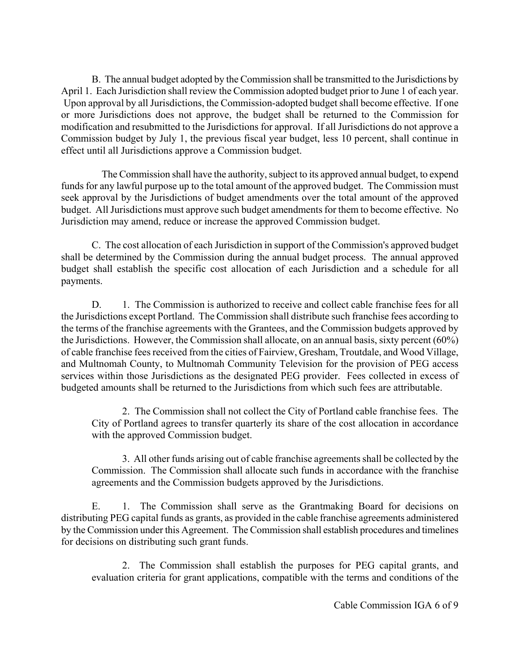B. The annual budget adopted by the Commission shall be transmitted to the Jurisdictions by April 1. Each Jurisdiction shall review the Commission adopted budget prior to June 1 of each year. Upon approval by all Jurisdictions, the Commission-adopted budget shall become effective. If one or more Jurisdictions does not approve, the budget shall be returned to the Commission for modification and resubmitted to the Jurisdictions for approval. If all Jurisdictions do not approve a Commission budget by July 1, the previous fiscal year budget, less 10 percent, shall continue in effect until all Jurisdictions approve a Commission budget.

 The Commission shall have the authority, subject to its approved annual budget, to expend funds for any lawful purpose up to the total amount of the approved budget. The Commission must seek approval by the Jurisdictions of budget amendments over the total amount of the approved budget. All Jurisdictions must approve such budget amendments for them to become effective. No Jurisdiction may amend, reduce or increase the approved Commission budget.

C. The cost allocation of each Jurisdiction in support of the Commission's approved budget shall be determined by the Commission during the annual budget process. The annual approved budget shall establish the specific cost allocation of each Jurisdiction and a schedule for all payments.

D. 1. The Commission is authorized to receive and collect cable franchise fees for all the Jurisdictions except Portland. The Commission shall distribute such franchise fees according to the terms of the franchise agreements with the Grantees, and the Commission budgets approved by the Jurisdictions. However, the Commission shall allocate, on an annual basis, sixty percent (60%) of cable franchise fees received from the cities of Fairview, Gresham, Troutdale, and Wood Village, and Multnomah County, to Multnomah Community Television for the provision of PEG access services within those Jurisdictions as the designated PEG provider. Fees collected in excess of budgeted amounts shall be returned to the Jurisdictions from which such fees are attributable.

2. The Commission shall not collect the City of Portland cable franchise fees. The City of Portland agrees to transfer quarterly its share of the cost allocation in accordance with the approved Commission budget.

3. All other funds arising out of cable franchise agreements shall be collected by the Commission. The Commission shall allocate such funds in accordance with the franchise agreements and the Commission budgets approved by the Jurisdictions.

E. 1. The Commission shall serve as the Grantmaking Board for decisions on distributing PEG capital funds as grants, as provided in the cable franchise agreements administered by the Commission under this Agreement. The Commission shall establish procedures and timelines for decisions on distributing such grant funds.

2. The Commission shall establish the purposes for PEG capital grants, and evaluation criteria for grant applications, compatible with the terms and conditions of the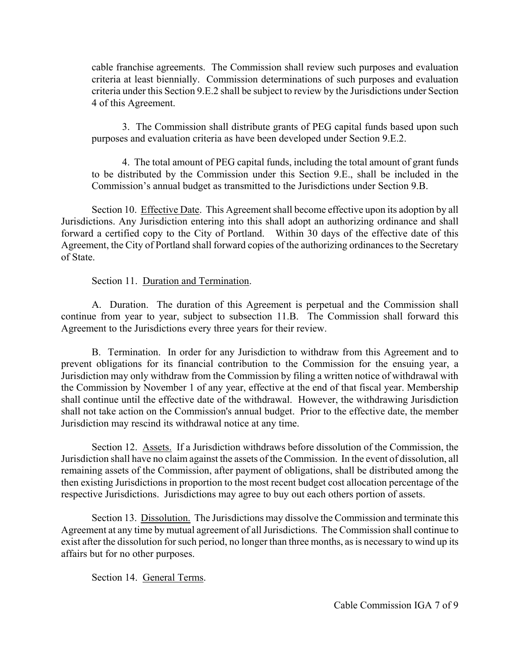cable franchise agreements. The Commission shall review such purposes and evaluation criteria at least biennially. Commission determinations of such purposes and evaluation criteria under this Section 9.E.2 shall be subject to review by the Jurisdictions under Section 4 of this Agreement.

3. The Commission shall distribute grants of PEG capital funds based upon such purposes and evaluation criteria as have been developed under Section 9.E.2.

4. The total amount of PEG capital funds, including the total amount of grant funds to be distributed by the Commission under this Section 9.E., shall be included in the Commission's annual budget as transmitted to the Jurisdictions under Section 9.B.

Section 10. Effective Date. This Agreement shall become effective upon its adoption by all Jurisdictions. Any Jurisdiction entering into this shall adopt an authorizing ordinance and shall forward a certified copy to the City of Portland. Within 30 days of the effective date of this Agreement, the City of Portland shall forward copies of the authorizing ordinances to the Secretary of State.

Section 11. Duration and Termination.

A. Duration. The duration of this Agreement is perpetual and the Commission shall continue from year to year, subject to subsection 11.B. The Commission shall forward this Agreement to the Jurisdictions every three years for their review.

B. Termination. In order for any Jurisdiction to withdraw from this Agreement and to prevent obligations for its financial contribution to the Commission for the ensuing year, a Jurisdiction may only withdraw from the Commission by filing a written notice of withdrawal with the Commission by November 1 of any year, effective at the end of that fiscal year. Membership shall continue until the effective date of the withdrawal. However, the withdrawing Jurisdiction shall not take action on the Commission's annual budget. Prior to the effective date, the member Jurisdiction may rescind its withdrawal notice at any time.

Section 12. Assets. If a Jurisdiction withdraws before dissolution of the Commission, the Jurisdiction shall have no claim against the assets of the Commission. In the event of dissolution, all remaining assets of the Commission, after payment of obligations, shall be distributed among the then existing Jurisdictions in proportion to the most recent budget cost allocation percentage of the respective Jurisdictions. Jurisdictions may agree to buy out each others portion of assets.

Section 13. Dissolution. The Jurisdictions may dissolve the Commission and terminate this Agreement at any time by mutual agreement of all Jurisdictions. The Commission shall continue to exist after the dissolution for such period, no longer than three months, as is necessary to wind up its affairs but for no other purposes.

Section 14. General Terms.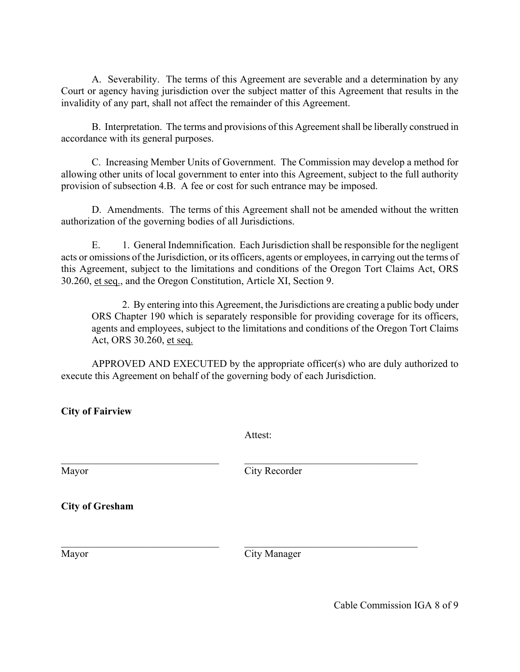A. Severability. The terms of this Agreement are severable and a determination by any Court or agency having jurisdiction over the subject matter of this Agreement that results in the invalidity of any part, shall not affect the remainder of this Agreement.

B. Interpretation. The terms and provisions of this Agreement shall be liberally construed in accordance with its general purposes.

C. Increasing Member Units of Government. The Commission may develop a method for allowing other units of local government to enter into this Agreement, subject to the full authority provision of subsection 4.B. A fee or cost for such entrance may be imposed.

D. Amendments. The terms of this Agreement shall not be amended without the written authorization of the governing bodies of all Jurisdictions.

E. 1. General Indemnification. Each Jurisdiction shall be responsible for the negligent acts or omissions of the Jurisdiction, or its officers, agents or employees, in carrying out the terms of this Agreement, subject to the limitations and conditions of the Oregon Tort Claims Act, ORS 30.260, et seq., and the Oregon Constitution, Article XI, Section 9.

2. By entering into this Agreement, the Jurisdictions are creating a public body under ORS Chapter 190 which is separately responsible for providing coverage for its officers, agents and employees, subject to the limitations and conditions of the Oregon Tort Claims Act, ORS 30.260, et seq.

APPROVED AND EXECUTED by the appropriate officer(s) who are duly authorized to execute this Agreement on behalf of the governing body of each Jurisdiction.

**City of Fairview**

Attest:

 $\mathcal{L}_\text{max}$  , and the contribution of the contribution of the contribution of the contribution of the contribution of the contribution of the contribution of the contribution of the contribution of the contribution of t

 $\mathcal{L}_\text{max} = \mathcal{L}_\text{max} = \mathcal{L}_\text{max} = \mathcal{L}_\text{max} = \mathcal{L}_\text{max} = \mathcal{L}_\text{max} = \mathcal{L}_\text{max} = \mathcal{L}_\text{max} = \mathcal{L}_\text{max} = \mathcal{L}_\text{max} = \mathcal{L}_\text{max} = \mathcal{L}_\text{max} = \mathcal{L}_\text{max} = \mathcal{L}_\text{max} = \mathcal{L}_\text{max} = \mathcal{L}_\text{max} = \mathcal{L}_\text{max} = \mathcal{L}_\text{max} = \mathcal{$ 

Mayor City Recorder

**City of Gresham**

Mayor City Manager

Cable Commission IGA 8 of 9